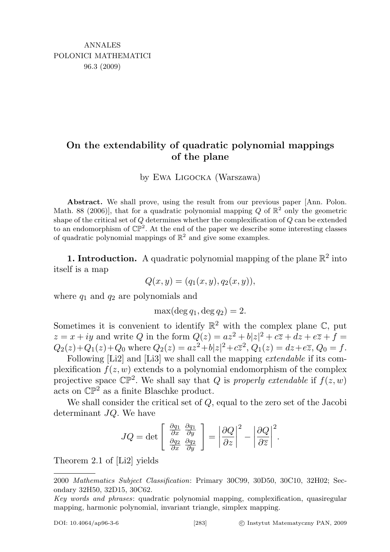## On the extendability of quadratic polynomial mappings of the plane

by Ewa Ligocka (Warszawa)

Abstract. We shall prove, using the result from our previous paper [Ann. Polon. Math. 88 (2006)], that for a quadratic polynomial mapping Q of  $\mathbb{R}^2$  only the geometric shape of the critical set of  $Q$  determines whether the complexification of  $Q$  can be extended to an endomorphism of  $\mathbb{CP}^2$ . At the end of the paper we describe some interesting classes of quadratic polynomial mappings of  $\mathbb{R}^2$  and give some examples.

**1. Introduction.** A quadratic polynomial mapping of the plane  $\mathbb{R}^2$  into itself is a map

$$
Q(x, y) = (q_1(x, y), q_2(x, y)),
$$

where  $q_1$  and  $q_2$  are polynomials and

 $max(deg_1, deg q_2) = 2.$ 

Sometimes it is convenient to identify  $\mathbb{R}^2$  with the complex plane  $\mathbb{C}$ , put  $z = x + iy$  and write Q in the form  $Q(z) = az^2 + b|z|^2 + c\overline{z} + dz + e\overline{z} + f =$  $Q_2(z) + Q_1(z) + Q_0$  where  $Q_2(z) = az^2 + b|z|^2 + c\overline{z}^2$ ,  $Q_1(z) = dz + e\overline{z}$ ,  $Q_0 = f$ .

Following [Li2] and [Li3] we shall call the mapping extendable if its complexification  $f(z, w)$  extends to a polynomial endomorphism of the complex projective space  $\mathbb{CP}^2$ . We shall say that Q is properly extendable if  $f(z, w)$ acts on  $\mathbb{CP}^2$  as a finite Blaschke product.

We shall consider the critical set of Q, equal to the zero set of the Jacobi determinant JQ. We have

$$
JQ = \det \left[ \begin{array}{cc} \frac{\partial q_1}{\partial x} & \frac{\partial q_1}{\partial y} \\ \frac{\partial q_2}{\partial x} & \frac{\partial q_2}{\partial y} \end{array} \right] = \left| \frac{\partial Q}{\partial z} \right|^2 - \left| \frac{\partial Q}{\partial \overline{z}} \right|^2.
$$

Theorem 2.1 of [Li2] yields

<sup>2000</sup> Mathematics Subject Classification: Primary 30C99, 30D50, 30C10, 32H02; Secondary 32H50, 32D15, 30C62.

Key words and phrases: quadratic polynomial mapping, complexification, quasiregular mapping, harmonic polynomial, invariant triangle, simplex mapping.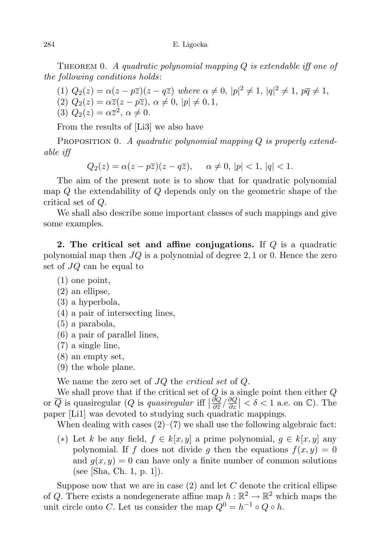THEOREM 0. A quadratic polynomial mapping  $Q$  is extendable iff one of the following conditions holds:

(1) 
$$
Q_2(z) = \alpha(z - p\overline{z})(z - q\overline{z})
$$
 where  $\alpha \neq 0$ ,  $|p|^2 \neq 1$ ,  $|q|^2 \neq 1$ ,  $p\overline{q} \neq 1$ ,  
(2)  $Q_2(z) = \alpha \overline{z}(z - p\overline{z})$ ,  $\alpha \neq 0$ ,  $|p| \neq 0, 1$ ,  
(3)  $Q_2(z) = \alpha \overline{z}^2$ ,  $\alpha \neq 0$ .

From the results of [Li3] we also have

PROPOSITION 0. A quadratic polynomial mapping  $Q$  is properly extendable iff

 $Q_2(z) = \alpha(z - p\overline{z})(z - q\overline{z}), \quad \alpha \neq 0, |p| < 1, |q| < 1.$ 

The aim of the present note is to show that for quadratic polynomial map Q the extendability of Q depends only on the geometric shape of the critical set of Q.

We shall also describe some important classes of such mappings and give some examples.

2. The critical set and affine conjugations. If Q is a quadratic polynomial map then  $JQ$  is a polynomial of degree 2, 1 or 0. Hence the zero set of JQ can be equal to

(1) one point,

(2) an ellipse,

- (3) a hyperbola,
- (4) a pair of intersecting lines,
- (5) a parabola,
- (6) a pair of parallel lines,
- (7) a single line,
- (8) an empty set,
- (9) the whole plane.

We name the zero set of JQ the *critical set* of Q.

We shall prove that if the critical set of  $Q$  is a single point then either  $Q$ or  $\overline{Q}$  is quasiregular  $(Q$  is quasiregular iff  $\left|\frac{\partial Q}{\partial \overline{z}}\right|$  $\frac{\partial Q}{\partial \overline{z}}/\frac{\partial Q}{\partial z}$  $\frac{\partial Q}{\partial z}$  | <  $\delta$  < 1 a.e. on  $\mathbb{C}$ ). The paper [Li1] was devoted to studying such quadratic mappings.

When dealing with cases  $(2)-(7)$  we shall use the following algebraic fact:

(\*) Let k be any field,  $f \in k[x, y]$  a prime polynomial,  $g \in k[x, y]$  any polynomial. If f does not divide g then the equations  $f(x, y) = 0$ and  $g(x, y) = 0$  can have only a finite number of common solutions (see [Sha, Ch. 1, p. 1]).

Suppose now that we are in case  $(2)$  and let C denote the critical ellipse of Q. There exists a nondegenerate affine map  $h : \mathbb{R}^2 \to \mathbb{R}^2$  which maps the unit circle onto C. Let us consider the map  $Q^0 = h^{-1} \circ Q \circ h$ .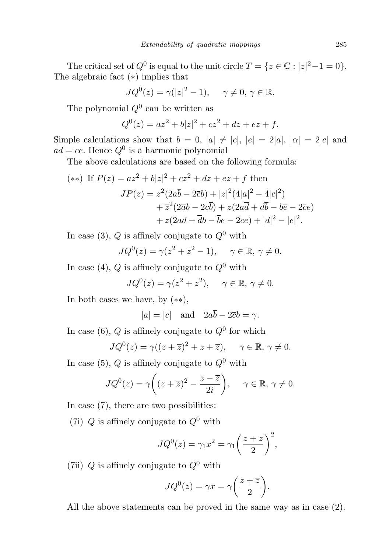The critical set of  $Q^0$  is equal to the unit circle  $T = \{z \in \mathbb{C} : |z|^2 - 1 = 0\}.$ The algebraic fact (∗) implies that

$$
JQ^{0}(z) = \gamma(|z|^{2} - 1), \quad \gamma \neq 0, \gamma \in \mathbb{R}.
$$

The polynomial  $Q^0$  can be written as

$$
Q^{0}(z) = az^{2} + b|z|^{2} + c\overline{z}^{2} + dz + e\overline{z} + f.
$$

Simple calculations show that  $b = 0$ ,  $|a| \neq |c|$ ,  $|e| = 2|a|$ ,  $|\alpha| = 2|c|$  and  $a\overline{d} = \overline{c}e$ . Hence  $Q^0$  is a harmonic polynomial

The above calculations are based on the following formula:

(\*\*) If 
$$
P(z) = az^2 + b|z|^2 + c\overline{z}^2 + dz + e\overline{z} + f
$$
 then  
\n
$$
JP(z) = z^2(2a\overline{b} - 2\overline{c}b) + |z|^2(4|a|^2 - 4|c|^2) \n+ \overline{z}^2(2\overline{a}b - 2c\overline{b}) + z(2a\overline{d} + d\overline{b} - b\overline{e} - 2\overline{c}e) \n+ \overline{z}(2\overline{a}d + \overline{d}b - \overline{b}e - 2c\overline{e}) + |d|^2 - |e|^2.
$$

In case (3), Q is affinely conjugate to  $Q^0$  with

$$
JQ^{0}(z) = \gamma(z^{2} + \overline{z}^{2} - 1), \quad \gamma \in \mathbb{R}, \gamma \neq 0.
$$

In case (4),  $Q$  is affinely conjugate to  $Q^0$  with

$$
JQ^{0}(z) = \gamma(z^{2} + \overline{z}^{2}), \quad \gamma \in \mathbb{R}, \gamma \neq 0.
$$

In both cases we have, by  $(**)$ ,

 $|a| = |c|$  and  $2a\overline{b} - 2\overline{c}b = \gamma$ .

In case (6), Q is affinely conjugate to  $Q^0$  for which

$$
JQ^{0}(z) = \gamma((z + \overline{z})^{2} + z + \overline{z}), \quad \gamma \in \mathbb{R}, \gamma \neq 0.
$$

In case (5), Q is affinely conjugate to  $Q^0$  with

$$
JQ^{0}(z) = \gamma \bigg( (z + \overline{z})^{2} - \frac{z - \overline{z}}{2i} \bigg), \quad \gamma \in \mathbb{R}, \, \gamma \neq 0.
$$

In case (7), there are two possibilities:

(7i) Q is affinely conjugate to  $Q^0$  with

$$
JQ^{0}(z) = \gamma_1 x^{2} = \gamma_1 \left(\frac{z + \overline{z}}{2}\right)^{2},
$$

(7ii) Q is affinely conjugate to  $Q^0$  with

$$
JQ^{0}(z) = \gamma x = \gamma \bigg(\frac{z + \overline{z}}{2}\bigg).
$$

All the above statements can be proved in the same way as in case (2).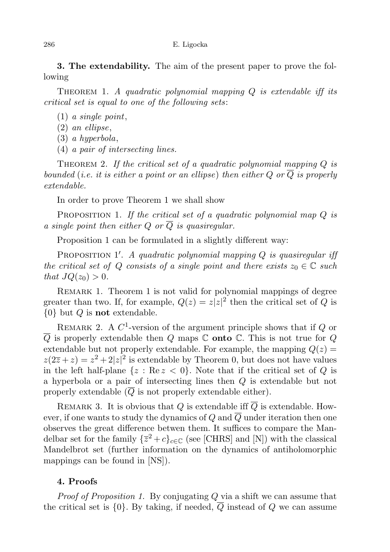3. The extendability. The aim of the present paper to prove the following

THEOREM 1. A quadratic polynomial mapping  $Q$  is extendable iff its critical set is equal to one of the following sets:

- (1) a single point,
- (2) an ellipse,
- (3) a hyperbola,
- (4) a pair of intersecting lines.

THEOREM 2. If the critical set of a quadratic polynomial mapping  $Q$  is bounded (i.e. it is either a point or an ellipse) then either Q or  $\overline{Q}$  is properly extendable.

In order to prove Theorem 1 we shall show

PROPOSITION 1. If the critical set of a quadratic polynomial map  $Q$  is a single point then either Q or  $\overline{Q}$  is quasiregular.

Proposition 1 can be formulated in a slightly different way:

PROPOSITION 1'. A quadratic polynomial mapping  $Q$  is quasiregular if the critical set of Q consists of a single point and there exists  $z_0 \in \mathbb{C}$  such that  $JQ(z_0) > 0$ .

REMARK 1. Theorem 1 is not valid for polynomial mappings of degree greater than two. If, for example,  $Q(z) = z|z|^2$  then the critical set of Q is  $\{0\}$  but Q is **not** extendable.

REMARK 2. A  $C^1$ -version of the argument principle shows that if  $Q$  or  $\overline{Q}$  is properly extendable then Q maps  $\mathbb C$  onto  $\mathbb C$ . This is not true for Q extendable but not properly extendable. For example, the mapping  $Q(z)$  $z(2\overline{z}+z)=z^2+2|z|^2$  is extendable by Theorem 0, but does not have values in the left half-plane  $\{z : \text{Re } z < 0\}$ . Note that if the critical set of Q is a hyperbola or a pair of intersecting lines then Q is extendable but not properly extendable  $(Q$  is not properly extendable either).

REMARK 3. It is obvious that Q is extendable iff  $\overline{Q}$  is extendable. However, if one wants to study the dynamics of Q and  $\overline{Q}$  under iteration then one observes the great difference betwen them. It suffices to compare the Mandelbar set for the family  $\{\overline{z}^2+c\}_{c\in\mathbb{C}}$  (see [CHRS] and [N]) with the classical Mandelbrot set (further information on the dynamics of antiholomorphic mappings can be found in [NS]).

## 4. Proofs

Proof of Proposition 1. By conjugating Q via a shift we can assume that the critical set is  $\{0\}$ . By taking, if needed,  $\overline{Q}$  instead of Q we can assume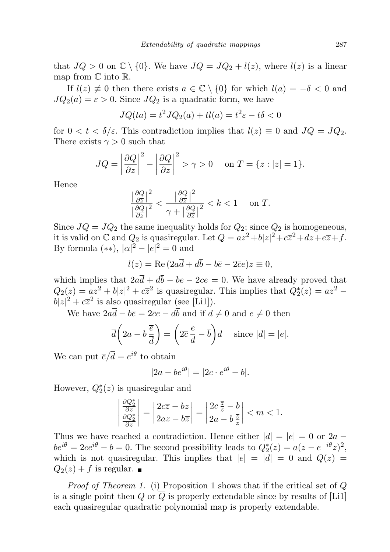that  $JQ > 0$  on  $\mathbb{C} \setminus \{0\}$ . We have  $JQ = JQ_2 + l(z)$ , where  $l(z)$  is a linear map from  $\mathbb C$  into  $\mathbb R$ .

If  $l(z) \neq 0$  then there exists  $a \in \mathbb{C} \setminus \{0\}$  for which  $l(a) = -\delta < 0$  and  $JQ_2(a) = \varepsilon > 0$ . Since  $JQ_2$  is a quadratic form, we have

$$
JQ(ta) = t2 JQ2(a) + tl(a) = t2 \varepsilon - t\delta < 0
$$

for  $0 < t < \delta/\varepsilon$ . This contradiction implies that  $l(z) \equiv 0$  and  $JQ = JQ_2$ . There exists  $\gamma > 0$  such that

$$
JQ = \left| \frac{\partial Q}{\partial z} \right|^2 - \left| \frac{\partial Q}{\partial \overline{z}} \right|^2 > \gamma > 0 \quad \text{on } T = \{z : |z| = 1\}.
$$

Hence

$$
\frac{\left|\frac{\partial Q}{\partial \overline{z}}\right|^2}{\left|\frac{\partial Q}{\partial z}\right|^2} < \frac{\left|\frac{\partial Q}{\partial \overline{z}}\right|^2}{\gamma + \left|\frac{\partial Q}{\partial \overline{z}}\right|^2} < k < 1 \quad \text{on } T.
$$

Since  $JQ = JQ_2$  the same inequality holds for  $Q_2$ ; since  $Q_2$  is homogeneous, it is valid on  $\mathbb C$  and  $Q_2$  is quasiregular. Let  $Q = az^2 + b|z|^2 + c\overline{z}^2 + dz + e\overline{z} + f$ . By formula  $(**), |\alpha|^2 - |e|^2 = 0$  and

$$
l(z) = \text{Re}\left(2a\overline{d} + d\overline{b} - b\overline{e} - 2\overline{c}e\right)z \equiv 0,
$$

which implies that  $2a\overline{d} + d\overline{b} - b\overline{e} - 2\overline{c}e = 0$ . We have already proved that  $Q_2(z) = az^2 + b|z|^2 + c\overline{z}^2$  is quasiregular. This implies that  $Q_2^*(z) = az^2$  $b|z|^2 + c\overline{z}^2$  is also quasiregular (see [Li1]).

We have  $2a\overline{d} - b\overline{e} = 2\overline{c}e - d\overline{b}$  and if  $d \neq 0$  and  $e \neq 0$  then

$$
\overline{d}\left(2a - b\frac{\overline{e}}{\overline{d}}\right) = \left(2\overline{c}\frac{e}{d} - \overline{b}\right)d \quad \text{ since } |d| = |e|.
$$

We can put  $\overline{e}/\overline{d} = e^{i\theta}$  to obtain

$$
|2a - be^{i\theta}| = |2c \cdot e^{i\theta} - b|.
$$

However,  $Q_2^*(z)$  is quasiregular and

$$
\left|\frac{\frac{\partial Q_2^*}{\partial \overline{z}}}{\frac{\partial Q_2^*}{\partial z}}\right| = \left|\frac{2c\overline{z} - bz}{2az - b\overline{z}}\right| = \left|\frac{2c\frac{\overline{z}}{\overline{z}} - b}{2a - b\frac{\overline{z}}{\overline{z}}}\right| < m < 1.
$$

Thus we have reached a contradiction. Hence either  $|d| = |e| = 0$  or  $2a$  $be^{i\theta} = 2ce^{i\theta} - b = 0$ . The second possibility leads to  $Q_2^*(z) = a(z - e^{-i\theta}\overline{z})^2$ , which is not quasiregular. This implies that  $|e| = |d| = 0$  and  $Q(z) =$  $Q_2(z) + f$  is regular.

Proof of Theorem 1. (i) Proposition 1 shows that if the critical set of Q is a single point then Q or  $\overline{Q}$  is properly extendable since by results of [Li1] each quasiregular quadratic polynomial map is properly extendable.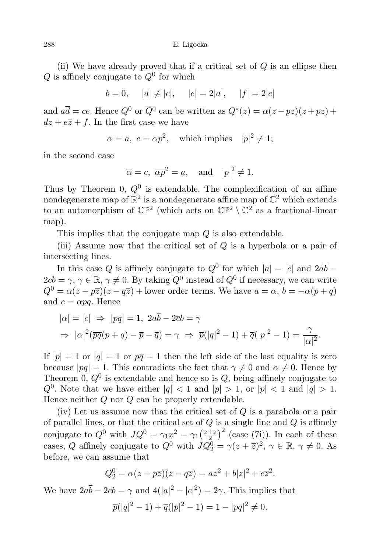(ii) We have already proved that if a critical set of  $Q$  is an ellipse then Q is affinely conjugate to  $Q^0$  for which

 $b = 0, \quad |a| \neq |c|, \quad |e| = 2|a|, \quad |f| = 2|c|$ 

and  $a\overline{d} = ce$ . Hence  $Q^0$  or  $\overline{Q^0}$  can be written as  $Q^*(z) = \alpha(z - p\overline{z})(z + p\overline{z}) + p\overline{z}$  $dz + e\overline{z} + f$ . In the first case we have

 $\alpha = a, c = \alpha p^2$ , which implies  $|p|^2 \neq 1$ ;

in the second case

$$
\overline{\alpha} = c, \overline{\alpha p}^2 = a, \text{ and } |p|^2 \neq 1.
$$

Thus by Theorem 0,  $Q^0$  is extendable. The complexification of an affine nondegenerate map of  $\mathbb{R}^2$  is a nondegenerate affine map of  $\mathbb{C}^2$  which extends to an automorphism of  $\mathbb{CP}^2$  (which acts on  $\mathbb{CP}^2 \setminus \mathbb{C}^2$  as a fractional-linear map).

This implies that the conjugate map Q is also extendable.

(iii) Assume now that the critical set of  $Q$  is a hyperbola or a pair of intersecting lines.

In this case Q is affinely conjugate to  $Q^0$  for which  $|a| = |c|$  and  $2a\overline{b}$  –  $2\bar{c}b = \gamma, \gamma \in \mathbb{R}, \gamma \neq 0$ . By taking  $\overline{Q^0}$  instead of  $Q^0$  if necessary, we can write  $Q^{0} = \alpha(z - p\overline{z})(z - q\overline{z}) +$  lower order terms. We have  $a = \alpha, b = -\alpha(p + q)$ and  $c = \alpha pq$ . Hence

$$
|\alpha| = |c| \Rightarrow |pq| = 1, 2ab - 2\overline{c}b = \gamma
$$
  

$$
\Rightarrow |\alpha|^2 (\overline{pq}(p+q) - \overline{p} - \overline{q}) = \gamma \Rightarrow \overline{p}(|q|^2 - 1) + \overline{q}(|p|^2 - 1) = \frac{\gamma}{|\alpha|^2}.
$$

If  $|p| = 1$  or  $|q| = 1$  or  $p\bar{q} = 1$  then the left side of the last equality is zero because  $|pq| = 1$ . This contradicts the fact that  $\gamma \neq 0$  and  $\alpha \neq 0$ . Hence by Theorem 0,  $Q^0$  is extendable and hence so is  $Q$ , being affinely conjugate to  $Q^0$ . Note that we have either  $|q| < 1$  and  $|p| > 1$ , or  $|p| < 1$  and  $|q| > 1$ . Hence neither Q nor  $\overline{Q}$  can be properly extendable.

(iv) Let us assume now that the critical set of  $Q$  is a parabola or a pair of parallel lines, or that the critical set of  $Q$  is a single line and  $Q$  is affinely conjugate to  $Q^0$  with  $JQ^0 = \gamma_1 x^2 = \gamma_1 \left(\frac{z+\overline{z}}{2}\right)$  $\left(\frac{+z}{2}\right)^2$  (case (7i)). In each of these cases, Q affinely conjugate to  $Q^0$  with  $JQ_2^0 = \gamma(z+\overline{z})^2$ ,  $\gamma \in \mathbb{R}$ ,  $\gamma \neq 0$ . As before, we can assume that

$$
Q_2^0 = \alpha(z - p\overline{z})(z - q\overline{z}) = az^2 + b|z|^2 + c\overline{z}^2.
$$

We have  $2a\bar{b} - 2\bar{c}b = \gamma$  and  $4(|a|^2 - |c|^2) = 2\gamma$ . This implies that

$$
\overline{p}(|q|^2 - 1) + \overline{q}(|p|^2 - 1) = 1 - |pq|^2 \neq 0.
$$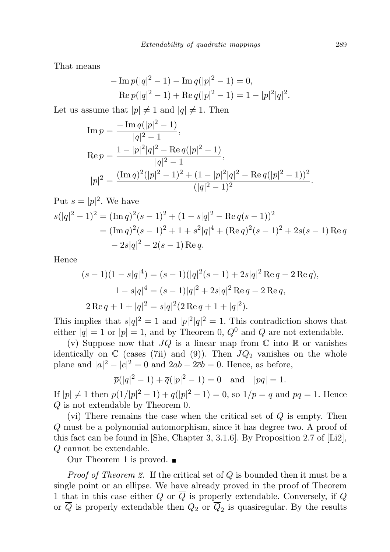That means

$$
-\operatorname{Im} p(|q|^2 - 1) - \operatorname{Im} q(|p|^2 - 1) = 0,
$$
  
Re  $p(|q|^2 - 1) + \operatorname{Re} q(|p|^2 - 1) = 1 - |p|^2 |q|^2.$ 

Let us assume that  $|p| \neq 1$  and  $|q| \neq 1$ . Then

$$
\begin{aligned} \text{Im}\,p &= \frac{-\,\text{Im}\,q(|p|^2-1)}{|q|^2-1},\\ \text{Re}\,p &= \frac{1-|p|^2|q|^2-\text{Re}\,q(|p|^2-1)}{|q|^2-1},\\ |p|^2 &= \frac{(\text{Im}\,q)^2(|p|^2-1)^2+(1-|p|^2|q|^2-\text{Re}\,q(|p|^2-1))^2}{(|q|^2-1)^2}. \end{aligned}
$$

Put  $s = |p|^2$ . We have  $\mathcal{S}$ 2

$$
s(|q|^2 - 1)^2 = (\text{Im } q)^2 (s - 1)^2 + (1 - s|q|^2 - \text{Re } q(s - 1))^2
$$
  
=  $(\text{Im } q)^2 (s - 1)^2 + 1 + s^2 |q|^4 + (\text{Re } q)^2 (s - 1)^2 + 2s(s - 1) \text{Re } q$   
 $- 2s|q|^2 - 2(s - 1) \text{Re } q.$ 

Hence

$$
(s-1)(1-s|q|^4) = (s-1)(|q|^2(s-1) + 2s|q|^2 \operatorname{Re} q - 2 \operatorname{Re} q),
$$
  

$$
1 - s|q|^4 = (s-1)|q|^2 + 2s|q|^2 \operatorname{Re} q - 2 \operatorname{Re} q,
$$
  

$$
2 \operatorname{Re} q + 1 + |q|^2 = s|q|^2 (2 \operatorname{Re} q + 1 + |q|^2).
$$

This implies that  $s|q|^2 = 1$  and  $|p|^2|q|^2 = 1$ . This contradiction shows that either  $|q| = 1$  or  $|p| = 1$ , and by Theorem 0,  $Q^0$  and Q are not extendable.

(v) Suppose now that  $JQ$  is a linear map from  $\mathbb C$  into  $\mathbb R$  or vanishes identically on  $\mathbb C$  (cases (7ii) and (9)). Then  $JQ_2$  vanishes on the whole plane and  $|a|^2 - |c|^2 = 0$  and  $2a\overline{b} - 2\overline{c}b = 0$ . Hence, as before,

$$
\overline{p}(|q|^2 - 1) + \overline{q}(|p|^2 - 1) = 0
$$
 and  $|pq| = 1$ .

If  $|p| \neq 1$  then  $\overline{p}(1/|p|^2 - 1) + \overline{q}(|p|^2 - 1) = 0$ , so  $1/p = \overline{q}$  and  $p\overline{q} = 1$ . Hence Q is not extendable by Theorem 0.

(vi) There remains the case when the critical set of  $Q$  is empty. Then Q must be a polynomial automorphism, since it has degree two. A proof of this fact can be found in [She, Chapter 3, 3.1.6]. By Proposition 2.7 of [Li2], Q cannot be extendable.

Our Theorem 1 is proved.  $\blacksquare$ 

*Proof of Theorem 2.* If the critical set of  $Q$  is bounded then it must be a single point or an ellipse. We have already proved in the proof of Theorem 1 that in this case either Q or  $\overline{Q}$  is properly extendable. Conversely, if Q or  $Q$  is properly extendable then  $Q_2$  or  $Q_2$  is quasiregular. By the results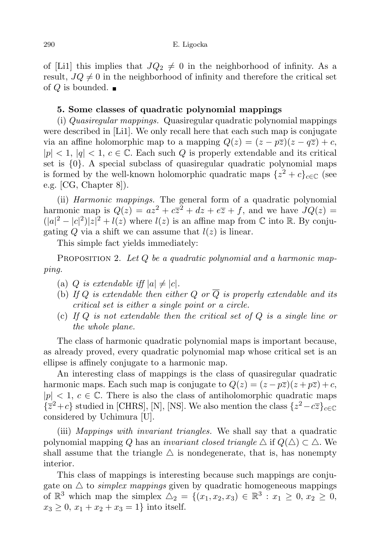of [Li1] this implies that  $JQ_2 \neq 0$  in the neighborhood of infinity. As a result,  $JQ \neq 0$  in the neighborhood of infinity and therefore the critical set of Q is bounded.  $\blacksquare$ 

## 5. Some classes of quadratic polynomial mappings

(i) Quasiregular mappings. Quasiregular quadratic polynomial mappings were described in [Li1]. We only recall here that each such map is conjugate via an affine holomorphic map to a mapping  $Q(z) = (z - p\overline{z})(z - q\overline{z}) + c$ ,  $|p| < 1, |q| < 1, c \in \mathbb{C}$ . Each such Q is properly extendable and its critical set is  $\{0\}$ . A special subclass of quasiregular quadratic polynomial maps is formed by the well-known holomorphic quadratic maps  $\{z^2+c\}_{c\in\mathbb{C}}$  (see e.g. [CG, Chapter 8]).

(ii) Harmonic mappings. The general form of a quadratic polynomial harmonic map is  $Q(z) = az^2 + c\overline{z}^2 + dz + e\overline{z} + f$ , and we have  $JQ(z) =$  $(|a|^2 - |c|^2)|z|^2 + l(z)$  where  $l(z)$  is an affine map from  $\mathbb C$  into  $\mathbb R$ . By conjugating Q via a shift we can assume that  $l(z)$  is linear.

This simple fact yields immediately:

**PROPOSITION 2.** Let  $Q$  be a quadratic polynomial and a harmonic mapping.

- (a) Q is extendable iff  $|a| \neq |c|$ .
- (b) If Q is extendable then either Q or  $\overline{Q}$  is properly extendable and its critical set is either a single point or a circle.
- (c) If  $Q$  is not extendable then the critical set of  $Q$  is a single line or the whole plane.

The class of harmonic quadratic polynomial maps is important because, as already proved, every quadratic polynomial map whose critical set is an ellipse is affinely conjugate to a harmonic map.

An interesting class of mappings is the class of quasiregular quadratic harmonic maps. Each such map is conjugate to  $Q(z) = (z - p\overline{z})(z + p\overline{z}) + c$ ,  $|p| < 1, c \in \mathbb{C}$ . There is also the class of antiholomorphic quadratic maps  $\{\overline{z}^2+c\}$  studied in [CHRS], [N], [NS]. We also mention the class  $\{z^2-c\overline{z}\}_{c∈\mathbb{C}}$ considered by Uchimura [U].

(iii) Mappings with invariant triangles. We shall say that a quadratic polynomial mapping Q has an *invariant closed triangle*  $\triangle$  if  $Q(\triangle) \subset \triangle$ . We shall assume that the triangle  $\Delta$  is nondegenerate, that is, has nonempty interior.

This class of mappings is interesting because such mappings are conjugate on  $\triangle$  to *simplex mappings* given by quadratic homogeneous mappings of  $\mathbb{R}^3$  which map the simplex  $\Delta_2 = \{(x_1, x_2, x_3) \in \mathbb{R}^3 : x_1 \geq 0, x_2 \geq 0,$  $x_3 \geq 0, x_1 + x_2 + x_3 = 1$  into itself.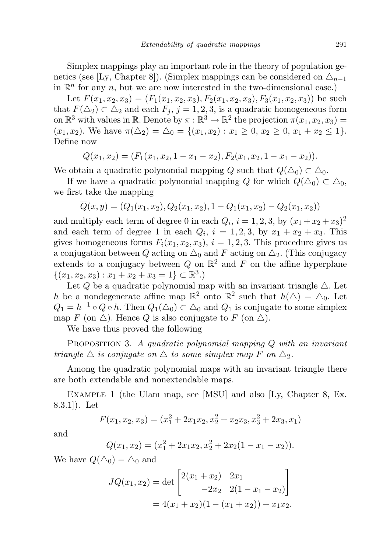Simplex mappings play an important role in the theory of population genetics (see [Ly, Chapter 8]). (Simplex mappings can be considered on  $\Delta_{n-1}$ in  $\mathbb{R}^n$  for any n, but we are now interested in the two-dimensional case.)

Let  $F(x_1, x_2, x_3) = (F_1(x_1, x_2, x_3), F_2(x_1, x_2, x_3), F_3(x_1, x_2, x_3))$  be such that  $F(\Delta_2) \subset \Delta_2$  and each  $F_j$ ,  $j = 1, 2, 3$ , is a quadratic homogeneous form on  $\mathbb{R}^3$  with values in  $\mathbb{R}$ . Denote by  $\pi : \mathbb{R}^3 \to \mathbb{R}^2$  the projection  $\pi(x_1, x_2, x_3) =$  $(x_1, x_2)$ . We have  $\pi(\Delta_2) = \Delta_0 = \{(x_1, x_2) : x_1 \geq 0, x_2 \geq 0, x_1 + x_2 \leq 1\}.$ Define now

$$
Q(x_1,x_2)=(F_1(x_1,x_2,1-x_1-x_2),F_2(x_1,x_2,1-x_1-x_2)).
$$

We obtain a quadratic polynomial mapping Q such that  $Q(\Delta_0) \subset \Delta_0$ .

If we have a quadratic polynomial mapping Q for which  $Q(\Delta_0) \subset \Delta_0$ , we first take the mapping

$$
\overline{Q}(x,y) = (Q_1(x_1,x_2), Q_2(x_1,x_2), 1 - Q_1(x_1,x_2) - Q_2(x_1,x_2))
$$

and multiply each term of degree 0 in each  $Q_i$ ,  $i = 1, 2, 3$ , by  $(x_1 + x_2 + x_3)^2$ and each term of degree 1 in each  $Q_i$ ,  $i = 1, 2, 3$ , by  $x_1 + x_2 + x_3$ . This gives homogeneous forms  $F_i(x_1, x_2, x_3), i = 1, 2, 3$ . This procedure gives us a conjugation between Q acting on  $\Delta_0$  and F acting on  $\Delta_2$ . (This conjugacy extends to a conjugacy between Q on  $\mathbb{R}^2$  and F on the affine hyperplane  $\{(x_1, x_2, x_3) : x_1 + x_2 + x_3 = 1\} \subset \mathbb{R}^3.$ 

Let Q be a quadratic polynomial map with an invariant triangle  $\Delta$ . Let h be a nondegenerate affine map  $\mathbb{R}^2$  onto  $\mathbb{R}^2$  such that  $h(\Delta) = \Delta_0$ . Let  $Q_1 = h^{-1} \circ Q \circ h$ . Then  $Q_1(\triangle_0) \subset \triangle_0$  and  $Q_1$  is conjugate to some simplex map F (on  $\triangle$ ). Hence Q is also conjugate to F (on  $\triangle$ ).

We have thus proved the following

**PROPOSITION 3.** A quadratic polynomial mapping  $Q$  with an invariant triangle  $\triangle$  is conjugate on  $\triangle$  to some simplex map F on  $\triangle_2$ .

Among the quadratic polynomial maps with an invariant triangle there are both extendable and nonextendable maps.

Example 1 (the Ulam map, see [MSU] and also [Ly, Chapter 8, Ex. 8.3.1]). Let

$$
F(x_1, x_2, x_3) = (x_1^2 + 2x_1x_2, x_2^2 + x_2x_3, x_3^2 + 2x_3, x_1)
$$

and

$$
Q(x_1, x_2) = (x_1^2 + 2x_1x_2, x_2^2 + 2x_2(1 - x_1 - x_2)).
$$

We have  $Q(\triangle_0) = \triangle_0$  and

$$
JQ(x_1, x_2) = \det \begin{bmatrix} 2(x_1 + x_2) & 2x_1 \\ -2x_2 & 2(1 - x_1 - x_2) \end{bmatrix}
$$
  
= 4(x\_1 + x\_2)(1 - (x\_1 + x\_2)) + x\_1x\_2.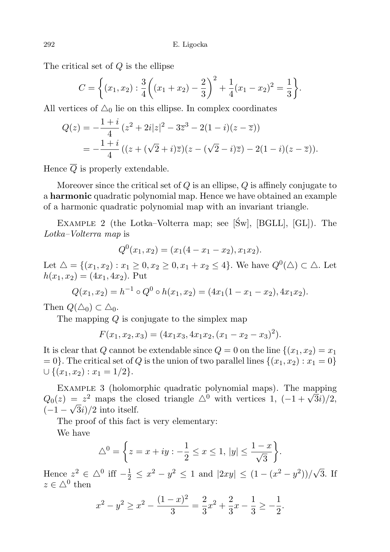The critical set of Q is the ellipse

$$
C = \left\{ (x_1, x_2) : \frac{3}{4} \left( (x_1 + x_2) - \frac{2}{3} \right)^2 + \frac{1}{4} (x_1 - x_2)^2 = \frac{1}{3} \right\}.
$$

All vertices of  $\Delta_0$  lie on this ellipse. In complex coordinates

$$
Q(z) = -\frac{1+i}{4} (z^2 + 2i|z|^2 - 3\overline{z}^3 - 2(1-i)(z-\overline{z}))
$$
  
= 
$$
-\frac{1+i}{4} ((z+(\sqrt{2}+i)\overline{z})(z-(\sqrt{2}-i)\overline{z}) - 2(1-i)(z-\overline{z})).
$$

Hence  $\overline{Q}$  is properly extendable.

Moreover since the critical set of  $Q$  is an ellipse,  $Q$  is affinely conjugate to a harmonic quadratic polynomial map. Hence we have obtained an example of a harmonic quadratic polynomial map with an invariant triangle.

EXAMPLE 2 (the Lotka–Volterra map; see  $[\text{Sw}]$ ,  $[\text{BGLL}]$ ,  $[\text{GL}]$ ). The Lotka–Volterra map is

$$
Q^{0}(x_{1}, x_{2}) = (x_{1}(4 - x_{1} - x_{2}), x_{1}x_{2}).
$$

Let  $\Delta = \{(x_1, x_2) : x_1 \geq 0, x_2 \geq 0, x_1 + x_2 \leq 4\}$ . We have  $Q^0(\Delta) \subset \Delta$ . Let  $h(x_1, x_2) = (4x_1, 4x_2)$ . Put

$$
Q(x_1, x_2) = h^{-1} \circ Q^0 \circ h(x_1, x_2) = (4x_1(1 - x_1 - x_2), 4x_1x_2).
$$

Then  $Q(\Delta_0) \subset \Delta_0$ .

The mapping  $Q$  is conjugate to the simplex map

$$
F(x_1, x_2, x_3) = (4x_1x_3, 4x_1x_2, (x_1 - x_2 - x_3)^2).
$$

It is clear that Q cannot be extendable since  $Q = 0$  on the line  $\{(x_1, x_2) = x_1\}$  $= 0$ . The critical set of Q is the union of two parallel lines  $\{(x_1, x_2) : x_1 = 0\}$  $\cup \{(x_1, x_2) : x_1 = 1/2\}.$ 

EXAMPLE 3 (holomorphic quadratic polynomial maps). The mapping EXAMPLE 3 (notomorphic quadratic polynomial maps). The mapping  $Q_0(z) = z^2$  maps the closed triangle  $\Delta^0$  with vertices 1,  $(-1 + \sqrt{3}i)/2$ ,  $(-1-\sqrt{3}i)/2$  into itself.

The proof of this fact is very elementary: We have

$$
\triangle^{0} = \left\{ z = x + iy : -\frac{1}{2} \le x \le 1, \, |y| \le \frac{1-x}{\sqrt{3}} \right\}.
$$

Hence  $z^2 \in \triangle^0$  iff  $-\frac{1}{2} \le x^2 - y^2 \le 1$  and  $|2xy| \le (1 - (x^2 - y^2))/$ √ 3. If  $z \in \triangle^0$  then

$$
x^{2} - y^{2} \ge x^{2} - \frac{(1-x)^{2}}{3} = \frac{2}{3}x^{2} + \frac{2}{3}x - \frac{1}{3} \ge -\frac{1}{2}.
$$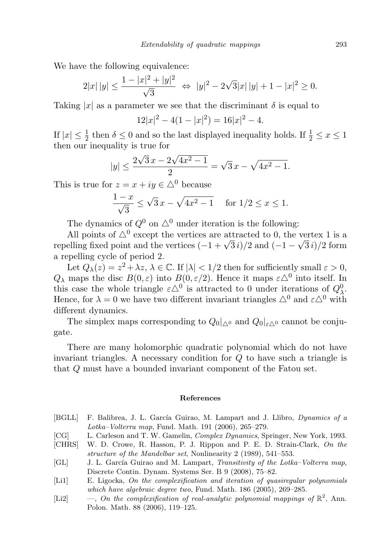We have the following equivalence:

$$
2|x| |y| \le \frac{1 - |x|^2 + |y|^2}{\sqrt{3}} \iff |y|^2 - 2\sqrt{3}|x| |y| + 1 - |x|^2 \ge 0.
$$

Taking |x| as a parameter we see that the discriminant  $\delta$  is equal to

$$
12|x|^2 - 4(1 - |x|^2) = 16|x|^2 - 4.
$$

If  $|x| \leq \frac{1}{2}$  then  $\delta \leq 0$  and so the last displayed inequality holds. If  $\frac{1}{2} \leq x \leq 1$ then our inequality is true for

$$
|y| \le \frac{2\sqrt{3}x - 2\sqrt{4x^2 - 1}}{2} = \sqrt{3}x - \sqrt{4x^2 - 1}.
$$

This is true for  $z = x + iy \in \Delta^0$  because

$$
\frac{1-x}{\sqrt{3}} \le \sqrt{3}x - \sqrt{4x^2 - 1} \quad \text{for } 1/2 \le x \le 1.
$$

The dynamics of  $Q^0$  on  $\triangle^0$  under iteration is the following:

All points of  $\triangle^0$  except the vertices are attracted to 0, the vertex 1 is a All points of  $\triangle^*$  except the vertices are attracted to 0, the vertex 1 is a<br>repelling fixed point and the vertices  $(-1 + \sqrt{3}i)/2$  and  $(-1 - \sqrt{3}i)/2$  form a repelling cycle of period 2.

Let  $Q_{\lambda}(z) = z^2 + \lambda z, \, \lambda \in \mathbb{C}$ . If  $|\lambda| < 1/2$  then for sufficiently small  $\varepsilon > 0$ ,  $Q_{\lambda}$  maps the disc  $B(0, \varepsilon)$  into  $B(0, \varepsilon/2)$ . Hence it maps  $\varepsilon \triangle^{0}$  into itself. In this case the whole triangle  $\varepsilon \triangle^0$  is attracted to 0 under iterations of  $Q^0_\lambda$ . Hence, for  $\lambda = 0$  we have two different invariant triangles  $\Delta^0$  and  $\varepsilon \Delta^0$  with different dynamics.

The simplex maps corresponding to  $Q_0|_{\Delta^0}$  and  $Q_0|_{\varepsilon^{\Delta^0}}$  cannot be conjugate.

There are many holomorphic quadratic polynomial which do not have invariant triangles. A necessary condition for  $Q$  to have such a triangle is that Q must have a bounded invariant component of the Fatou set.

## References

- [BGLL] F. Balibrea, J. L. García Guirao, M. Lampart and J. Llibro, *Dynamics of a* Lotka–Volterra map, Fund. Math. 191 (2006), 265–279.
- [CG] L. Carleson and T. W. Gamelin, Complex Dynamics, Springer, New York, 1993.
- [CHRS] W. D. Crowe, R. Hasson, P. J. Rippon and P. E. D. Strain-Clark, On the structure of the Mandelbar set, Nonlinearity 2 (1989), 541–553.
- [GL] J. L. García Guirao and M. Lampart, Transitivity of the Lotka–Volterra map, Discrete Contin. Dynam. Systems Ser. B 9 (2008), 75–82.
- [Li1] E. Ligocka, On the complexification and iteration of quasiregular polynomials which have algebraic degree two, Fund. Math. 186 (2005), 269–285.
- [Li2]  $\qquad \qquad -$ , On the complexification of real-analytic polynomial mappings of  $\mathbb{R}^2$ , Ann. Polon. Math. 88 (2006), 119–125.